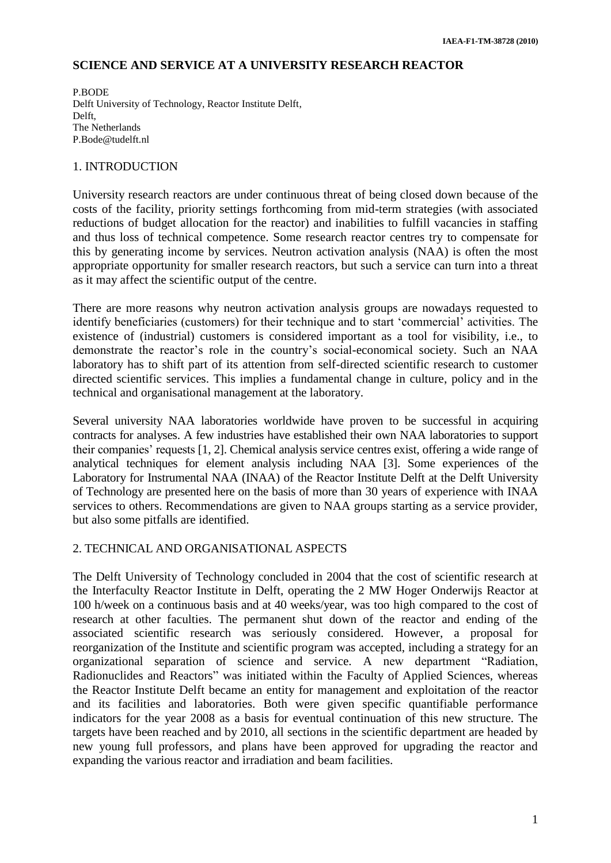# **SCIENCE AND SERVICE AT A UNIVERSITY RESEARCH REACTOR**

P.BODE Delft University of Technology, Reactor Institute Delft, Delft, The Netherlands P.Bode@tudelft.nl

### 1. INTRODUCTION

University research reactors are under continuous threat of being closed down because of the costs of the facility, priority settings forthcoming from mid-term strategies (with associated reductions of budget allocation for the reactor) and inabilities to fulfill vacancies in staffing and thus loss of technical competence. Some research reactor centres try to compensate for this by generating income by services. Neutron activation analysis (NAA) is often the most appropriate opportunity for smaller research reactors, but such a service can turn into a threat as it may affect the scientific output of the centre.

There are more reasons why neutron activation analysis groups are nowadays requested to identify beneficiaries (customers) for their technique and to start 'commercial' activities. The existence of (industrial) customers is considered important as a tool for visibility, i.e., to demonstrate the reactor's role in the country's social-economical society. Such an NAA laboratory has to shift part of its attention from self-directed scientific research to customer directed scientific services. This implies a fundamental change in culture, policy and in the technical and organisational management at the laboratory.

Several university NAA laboratories worldwide have proven to be successful in acquiring contracts for analyses. A few industries have established their own NAA laboratories to support their companies' requests [1, 2]. Chemical analysis service centres exist, offering a wide range of analytical techniques for element analysis including NAA [3]. Some experiences of the Laboratory for Instrumental NAA (INAA) of the Reactor Institute Delft at the Delft University of Technology are presented here on the basis of more than 30 years of experience with INAA services to others. Recommendations are given to NAA groups starting as a service provider, but also some pitfalls are identified.

# 2. TECHNICAL AND ORGANISATIONAL ASPECTS

The Delft University of Technology concluded in 2004 that the cost of scientific research at the Interfaculty Reactor Institute in Delft, operating the 2 MW Hoger Onderwijs Reactor at 100 h/week on a continuous basis and at 40 weeks/year, was too high compared to the cost of research at other faculties. The permanent shut down of the reactor and ending of the associated scientific research was seriously considered. However, a proposal for reorganization of the Institute and scientific program was accepted, including a strategy for an organizational separation of science and service. A new department "Radiation, Radionuclides and Reactors" was initiated within the Faculty of Applied Sciences, whereas the Reactor Institute Delft became an entity for management and exploitation of the reactor and its facilities and laboratories. Both were given specific quantifiable performance indicators for the year 2008 as a basis for eventual continuation of this new structure. The targets have been reached and by 2010, all sections in the scientific department are headed by new young full professors, and plans have been approved for upgrading the reactor and expanding the various reactor and irradiation and beam facilities.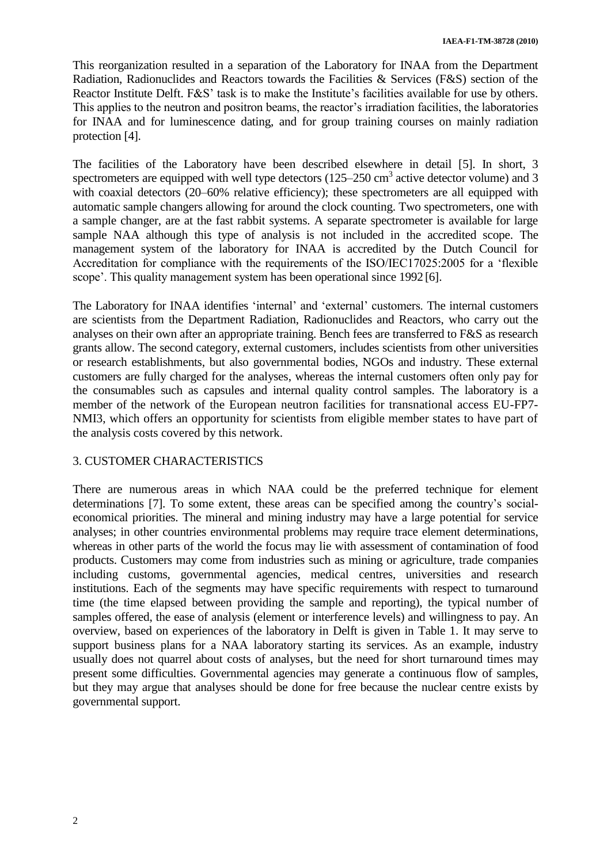This reorganization resulted in a separation of the Laboratory for INAA from the Department Radiation, Radionuclides and Reactors towards the Facilities & Services (F&S) section of the Reactor Institute Delft. F&S' task is to make the Institute's facilities available for use by others. This applies to the neutron and positron beams, the reactor's irradiation facilities, the laboratories for INAA and for luminescence dating, and for group training courses on mainly radiation protection [4].

The facilities of the Laboratory have been described elsewhere in detail [5]. In short, 3 spectrometers are equipped with well type detectors  $(125-250 \text{ cm}^3 \text{ active detector volume})$  and 3 with coaxial detectors (20–60% relative efficiency); these spectrometers are all equipped with automatic sample changers allowing for around the clock counting. Two spectrometers, one with a sample changer, are at the fast rabbit systems. A separate spectrometer is available for large sample NAA although this type of analysis is not included in the accredited scope. The management system of the laboratory for INAA is accredited by the Dutch Council for Accreditation for compliance with the requirements of the ISO/IEC17025:2005 for a 'flexible scope'. This quality management system has been operational since 1992 [6].

The Laboratory for INAA identifies 'internal' and 'external' customers. The internal customers are scientists from the Department Radiation, Radionuclides and Reactors, who carry out the analyses on their own after an appropriate training. Bench fees are transferred to F&S as research grants allow. The second category, external customers, includes scientists from other universities or research establishments, but also governmental bodies, NGOs and industry. These external customers are fully charged for the analyses, whereas the internal customers often only pay for the consumables such as capsules and internal quality control samples. The laboratory is a member of the network of the European neutron facilities for transnational access EU-FP7- NMI3, which offers an opportunity for scientists from eligible member states to have part of the analysis costs covered by this network.

# 3. CUSTOMER CHARACTERISTICS

There are numerous areas in which NAA could be the preferred technique for element determinations [7]. To some extent, these areas can be specified among the country's socialeconomical priorities. The mineral and mining industry may have a large potential for service analyses; in other countries environmental problems may require trace element determinations, whereas in other parts of the world the focus may lie with assessment of contamination of food products. Customers may come from industries such as mining or agriculture, trade companies including customs, governmental agencies, medical centres, universities and research institutions. Each of the segments may have specific requirements with respect to turnaround time (the time elapsed between providing the sample and reporting), the typical number of samples offered, the ease of analysis (element or interference levels) and willingness to pay. An overview, based on experiences of the laboratory in Delft is given in Table 1. It may serve to support business plans for a NAA laboratory starting its services. As an example, industry usually does not quarrel about costs of analyses, but the need for short turnaround times may present some difficulties. Governmental agencies may generate a continuous flow of samples, but they may argue that analyses should be done for free because the nuclear centre exists by governmental support.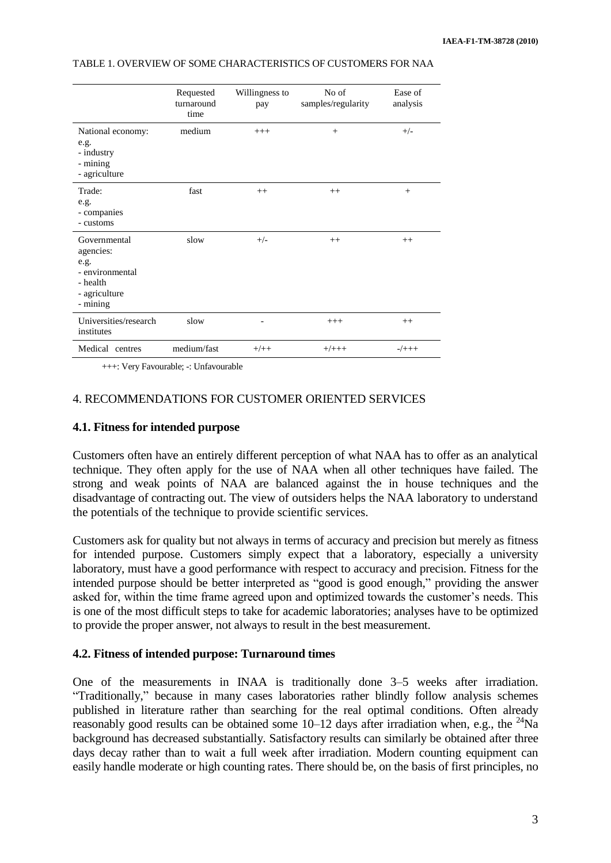|                                                                                               | Requested<br>turnaround<br>time | Willingness to<br>pay    | No of<br>samples/regularity | Ease of<br>analysis |
|-----------------------------------------------------------------------------------------------|---------------------------------|--------------------------|-----------------------------|---------------------|
| National economy:<br>e.g.<br>- industry<br>- mining<br>- agriculture                          | medium                          | $+++$                    | $^{+}$                      | $+/-$               |
| Trade:<br>e.g.<br>- companies<br>- customs                                                    | fast                            | $++$                     | $++$                        | $^{+}$              |
| Governmental<br>agencies:<br>e.g.<br>- environmental<br>- health<br>- agriculture<br>- mining | slow                            | $+/-$                    | $++$                        | $++$                |
| Universities/research<br>institutes                                                           | slow                            | $\overline{\phantom{a}}$ | $+++$                       | $^{++}$             |
| Medical centres                                                                               | medium/fast                     | $+/++$                   | $+/+++$                     | $-/+++$             |

### TABLE 1. OVERVIEW OF SOME CHARACTERISTICS OF CUSTOMERS FOR NAA

+++: Very Favourable; -: Unfavourable

# 4. RECOMMENDATIONS FOR CUSTOMER ORIENTED SERVICES

### **4.1. Fitness for intended purpose**

Customers often have an entirely different perception of what NAA has to offer as an analytical technique. They often apply for the use of NAA when all other techniques have failed. The strong and weak points of NAA are balanced against the in house techniques and the disadvantage of contracting out. The view of outsiders helps the NAA laboratory to understand the potentials of the technique to provide scientific services.

Customers ask for quality but not always in terms of accuracy and precision but merely as fitness for intended purpose. Customers simply expect that a laboratory, especially a university laboratory, must have a good performance with respect to accuracy and precision. Fitness for the intended purpose should be better interpreted as "good is good enough," providing the answer asked for, within the time frame agreed upon and optimized towards the customer's needs. This is one of the most difficult steps to take for academic laboratories; analyses have to be optimized to provide the proper answer, not always to result in the best measurement.

#### **4.2. Fitness of intended purpose: Turnaround times**

One of the measurements in INAA is traditionally done 3–5 weeks after irradiation. "Traditionally," because in many cases laboratories rather blindly follow analysis schemes published in literature rather than searching for the real optimal conditions. Often already reasonably good results can be obtained some  $10-12$  days after irradiation when, e.g., the <sup>24</sup>Na background has decreased substantially. Satisfactory results can similarly be obtained after three days decay rather than to wait a full week after irradiation. Modern counting equipment can easily handle moderate or high counting rates. There should be, on the basis of first principles, no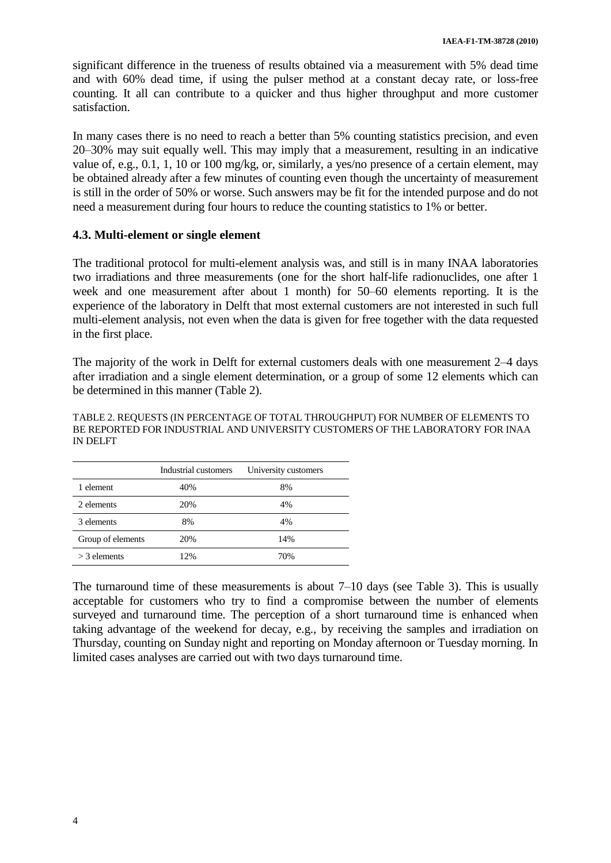significant difference in the trueness of results obtained via a measurement with 5% dead time and with 60% dead time, if using the pulser method at a constant decay rate, or loss-free counting. It all can contribute to a quicker and thus higher throughput and more customer satisfaction.

In many cases there is no need to reach a better than 5% counting statistics precision, and even 20–30% may suit equally well. This may imply that a measurement, resulting in an indicative value of, e.g., 0.1, 1, 10 or 100 mg/kg, or, similarly, a yes/no presence of a certain element, may be obtained already after a few minutes of counting even though the uncertainty of measurement is still in the order of 50% or worse. Such answers may be fit for the intended purpose and do not need a measurement during four hours to reduce the counting statistics to 1% or better.

# **4.3. Multi-element or single element**

The traditional protocol for multi-element analysis was, and still is in many INAA laboratories two irradiations and three measurements (one for the short half-life radionuclides, one after 1 week and one measurement after about 1 month) for 50–60 elements reporting. It is the experience of the laboratory in Delft that most external customers are not interested in such full multi-element analysis, not even when the data is given for free together with the data requested in the first place.

The majority of the work in Delft for external customers deals with one measurement 2–4 days after irradiation and a single element determination, or a group of some 12 elements which can be determined in this manner (Table 2).

#### TABLE 2. REQUESTS (IN PERCENTAGE OF TOTAL THROUGHPUT) FOR NUMBER OF ELEMENTS TO BE REPORTED FOR INDUSTRIAL AND UNIVERSITY CUSTOMERS OF THE LABORATORY FOR INAA IN DELFT

|                   | Industrial customers | University customers |
|-------------------|----------------------|----------------------|
| 1 element         | 40%                  | 8%                   |
| 2 elements        | 20%                  | 4%                   |
| 3 elements        | 8%                   | 4%                   |
| Group of elements | 20%                  | 14%                  |
| $>$ 3 elements    | 12%                  | 70%                  |

The turnaround time of these measurements is about 7–10 days (see Table 3). This is usually acceptable for customers who try to find a compromise between the number of elements surveyed and turnaround time. The perception of a short turnaround time is enhanced when taking advantage of the weekend for decay, e.g., by receiving the samples and irradiation on Thursday, counting on Sunday night and reporting on Monday afternoon or Tuesday morning. In limited cases analyses are carried out with two days turnaround time.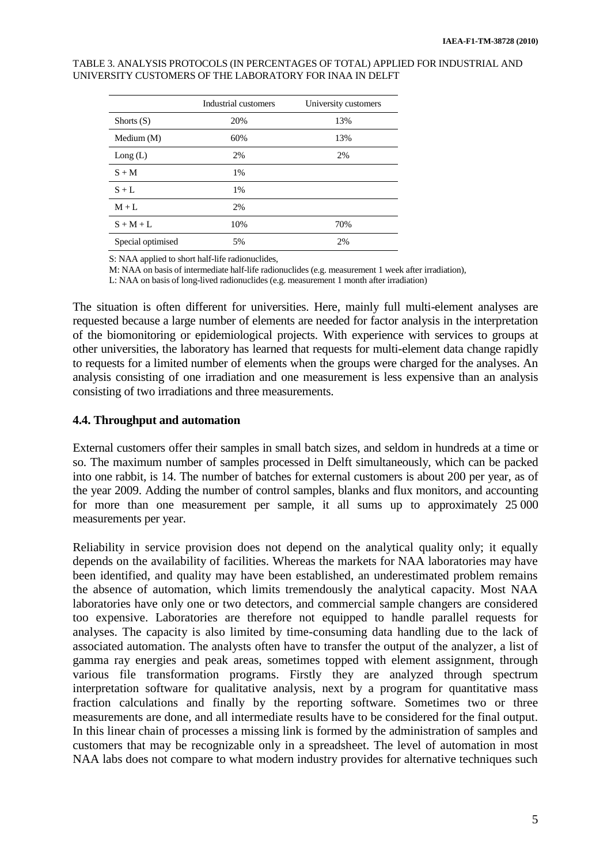#### TABLE 3. ANALYSIS PROTOCOLS (IN PERCENTAGES OF TOTAL) APPLIED FOR INDUSTRIAL AND UNIVERSITY CUSTOMERS OF THE LABORATORY FOR INAA IN DELFT

|                   | Industrial customers | University customers |
|-------------------|----------------------|----------------------|
| Shorts $(S)$      | 20%                  | 13%                  |
| Medium $(M)$      | 60%                  | 13%                  |
| Long(L)           | 2%                   | 2%                   |
| $S + M$           | 1%                   |                      |
| $S + L$           | 1%                   |                      |
| $M + L$           | 2%                   |                      |
| $S + M + L$       | 10%                  | 70%                  |
| Special optimised | 5%                   | 2%                   |

S: NAA applied to short half-life radionuclides,

M: NAA on basis of intermediate half-life radionuclides (e.g. measurement 1 week after irradiation),

L: NAA on basis of long-lived radionuclides (e.g. measurement 1 month after irradiation)

The situation is often different for universities. Here, mainly full multi-element analyses are requested because a large number of elements are needed for factor analysis in the interpretation of the biomonitoring or epidemiological projects. With experience with services to groups at other universities, the laboratory has learned that requests for multi-element data change rapidly to requests for a limited number of elements when the groups were charged for the analyses. An analysis consisting of one irradiation and one measurement is less expensive than an analysis consisting of two irradiations and three measurements.

### **4.4. Throughput and automation**

External customers offer their samples in small batch sizes, and seldom in hundreds at a time or so. The maximum number of samples processed in Delft simultaneously, which can be packed into one rabbit, is 14. The number of batches for external customers is about 200 per year, as of the year 2009. Adding the number of control samples, blanks and flux monitors, and accounting for more than one measurement per sample, it all sums up to approximately 25 000 measurements per year.

Reliability in service provision does not depend on the analytical quality only; it equally depends on the availability of facilities. Whereas the markets for NAA laboratories may have been identified, and quality may have been established, an underestimated problem remains the absence of automation, which limits tremendously the analytical capacity. Most NAA laboratories have only one or two detectors, and commercial sample changers are considered too expensive. Laboratories are therefore not equipped to handle parallel requests for analyses. The capacity is also limited by time-consuming data handling due to the lack of associated automation. The analysts often have to transfer the output of the analyzer, a list of gamma ray energies and peak areas, sometimes topped with element assignment, through various file transformation programs. Firstly they are analyzed through spectrum interpretation software for qualitative analysis, next by a program for quantitative mass fraction calculations and finally by the reporting software. Sometimes two or three measurements are done, and all intermediate results have to be considered for the final output. In this linear chain of processes a missing link is formed by the administration of samples and customers that may be recognizable only in a spreadsheet. The level of automation in most NAA labs does not compare to what modern industry provides for alternative techniques such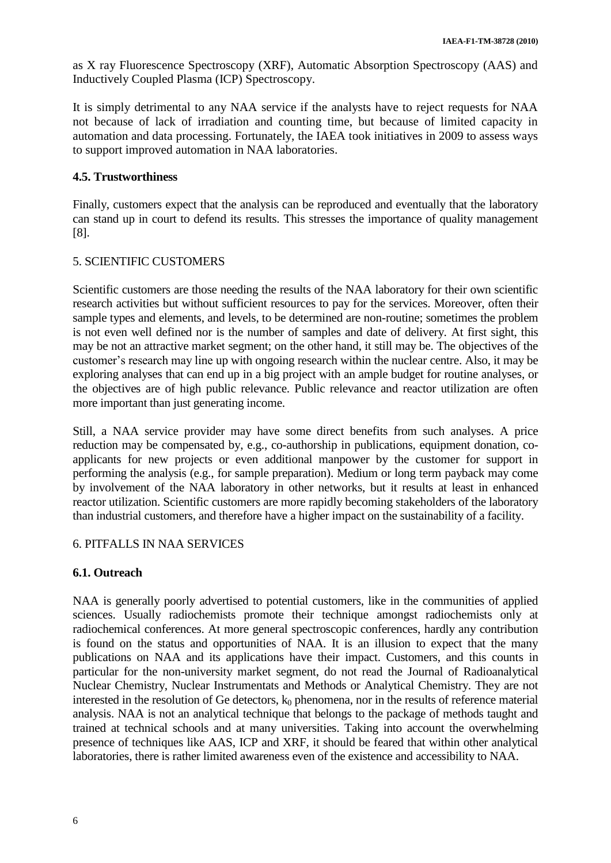as X ray Fluorescence Spectroscopy (XRF), Automatic Absorption Spectroscopy (AAS) and Inductively Coupled Plasma (ICP) Spectroscopy.

It is simply detrimental to any NAA service if the analysts have to reject requests for NAA not because of lack of irradiation and counting time, but because of limited capacity in automation and data processing. Fortunately, the IAEA took initiatives in 2009 to assess ways to support improved automation in NAA laboratories.

# **4.5. Trustworthiness**

Finally, customers expect that the analysis can be reproduced and eventually that the laboratory can stand up in court to defend its results. This stresses the importance of quality management [8].

# 5. SCIENTIFIC CUSTOMERS

Scientific customers are those needing the results of the NAA laboratory for their own scientific research activities but without sufficient resources to pay for the services. Moreover, often their sample types and elements, and levels, to be determined are non-routine; sometimes the problem is not even well defined nor is the number of samples and date of delivery. At first sight, this may be not an attractive market segment; on the other hand, it still may be. The objectives of the customer's research may line up with ongoing research within the nuclear centre. Also, it may be exploring analyses that can end up in a big project with an ample budget for routine analyses, or the objectives are of high public relevance. Public relevance and reactor utilization are often more important than just generating income.

Still, a NAA service provider may have some direct benefits from such analyses. A price reduction may be compensated by, e.g., co-authorship in publications, equipment donation, coapplicants for new projects or even additional manpower by the customer for support in performing the analysis (e.g., for sample preparation). Medium or long term payback may come by involvement of the NAA laboratory in other networks, but it results at least in enhanced reactor utilization. Scientific customers are more rapidly becoming stakeholders of the laboratory than industrial customers, and therefore have a higher impact on the sustainability of a facility.

# 6. PITFALLS IN NAA SERVICES

# **6.1. Outreach**

NAA is generally poorly advertised to potential customers, like in the communities of applied sciences. Usually radiochemists promote their technique amongst radiochemists only at radiochemical conferences. At more general spectroscopic conferences, hardly any contribution is found on the status and opportunities of NAA. It is an illusion to expect that the many publications on NAA and its applications have their impact. Customers, and this counts in particular for the non-university market segment, do not read the Journal of Radioanalytical Nuclear Chemistry, Nuclear Instrumentats and Methods or Analytical Chemistry. They are not interested in the resolution of Ge detectors,  $k_0$  phenomena, nor in the results of reference material analysis. NAA is not an analytical technique that belongs to the package of methods taught and trained at technical schools and at many universities. Taking into account the overwhelming presence of techniques like AAS, ICP and XRF, it should be feared that within other analytical laboratories, there is rather limited awareness even of the existence and accessibility to NAA.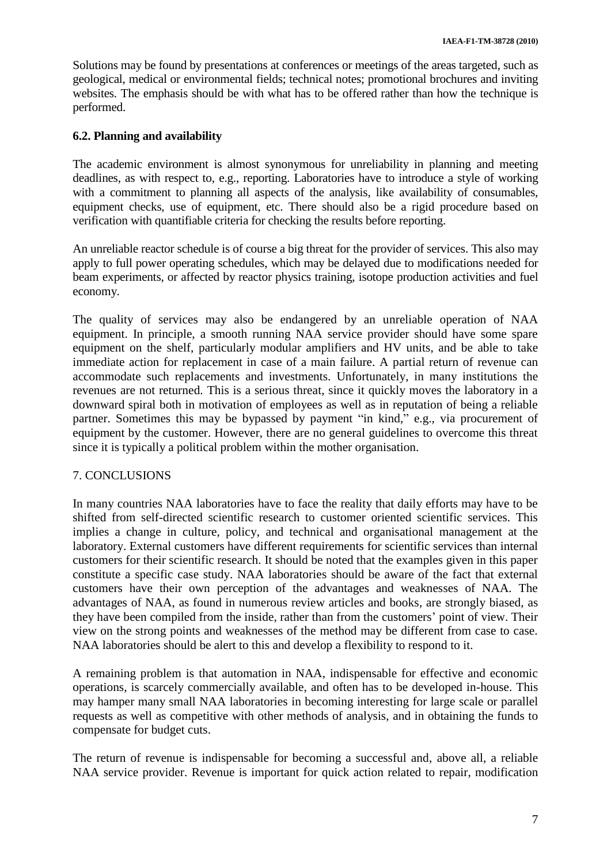Solutions may be found by presentations at conferences or meetings of the areas targeted, such as geological, medical or environmental fields; technical notes; promotional brochures and inviting websites. The emphasis should be with what has to be offered rather than how the technique is performed.

# **6.2. Planning and availability**

The academic environment is almost synonymous for unreliability in planning and meeting deadlines, as with respect to, e.g., reporting. Laboratories have to introduce a style of working with a commitment to planning all aspects of the analysis, like availability of consumables, equipment checks, use of equipment, etc. There should also be a rigid procedure based on verification with quantifiable criteria for checking the results before reporting.

An unreliable reactor schedule is of course a big threat for the provider of services. This also may apply to full power operating schedules, which may be delayed due to modifications needed for beam experiments, or affected by reactor physics training, isotope production activities and fuel economy.

The quality of services may also be endangered by an unreliable operation of NAA equipment. In principle, a smooth running NAA service provider should have some spare equipment on the shelf, particularly modular amplifiers and HV units, and be able to take immediate action for replacement in case of a main failure. A partial return of revenue can accommodate such replacements and investments. Unfortunately, in many institutions the revenues are not returned. This is a serious threat, since it quickly moves the laboratory in a downward spiral both in motivation of employees as well as in reputation of being a reliable partner. Sometimes this may be bypassed by payment "in kind," e.g., via procurement of equipment by the customer. However, there are no general guidelines to overcome this threat since it is typically a political problem within the mother organisation.

# 7. CONCLUSIONS

In many countries NAA laboratories have to face the reality that daily efforts may have to be shifted from self-directed scientific research to customer oriented scientific services. This implies a change in culture, policy, and technical and organisational management at the laboratory. External customers have different requirements for scientific services than internal customers for their scientific research. It should be noted that the examples given in this paper constitute a specific case study. NAA laboratories should be aware of the fact that external customers have their own perception of the advantages and weaknesses of NAA. The advantages of NAA, as found in numerous review articles and books, are strongly biased, as they have been compiled from the inside, rather than from the customers' point of view. Their view on the strong points and weaknesses of the method may be different from case to case. NAA laboratories should be alert to this and develop a flexibility to respond to it.

A remaining problem is that automation in NAA, indispensable for effective and economic operations, is scarcely commercially available, and often has to be developed in-house. This may hamper many small NAA laboratories in becoming interesting for large scale or parallel requests as well as competitive with other methods of analysis, and in obtaining the funds to compensate for budget cuts.

The return of revenue is indispensable for becoming a successful and, above all, a reliable NAA service provider. Revenue is important for quick action related to repair, modification